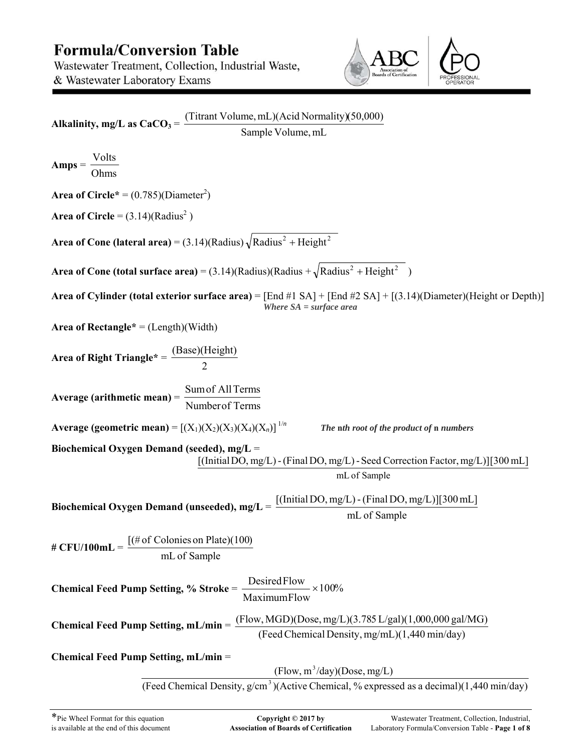# **Formula/Conversion Table** Wastewater Treatment, Collection, Industrial Waste, & Wastewater Laboratory Exams



| Alkalinity, mg/L as $CaCO_3 = \frac{(Titrant Volume, mL)(Acid Normality)(50,000)}{2}$                                                                                                              |  |  |
|----------------------------------------------------------------------------------------------------------------------------------------------------------------------------------------------------|--|--|
| Sample Volume, mL                                                                                                                                                                                  |  |  |
| $Amps = \frac{Volts}{Ohms}$                                                                                                                                                                        |  |  |
| <b>Area of Circle*</b> = $(0.785)(Diameter^2)$                                                                                                                                                     |  |  |
| <b>Area of Circle</b> = $(3.14)(\text{Radius}^2)$                                                                                                                                                  |  |  |
| <b>Area of Cone (lateral area)</b> = $(3.14)$ (Radius) $\sqrt{\text{Radius}^2 + \text{Height}^2}$                                                                                                  |  |  |
| <b>Area of Cone (total surface area)</b> = $(3.14)$ (Radius)(Radius + $\sqrt{\text{Radius}^2 + \text{Height}^2}$ )                                                                                 |  |  |
| Area of Cylinder (total exterior surface area) = [End #1 SA] + [End #2 SA] + [(3.14)(Diameter)(Height or Depth)]<br>Where $SA = surface \, area$                                                   |  |  |
| Area of Rectangle* = $(Length)(Width)$                                                                                                                                                             |  |  |
| Area of Right Triangle* = $\frac{(Base)(Height)}{2}$                                                                                                                                               |  |  |
| <b>Average (arithmetic mean)</b> = $\frac{\text{Sum of All Terms}}{\sqrt{1-\frac{1}{n}}$<br>Number of Terms                                                                                        |  |  |
| <b>Average (geometric mean)</b> = $[(X_1)(X_2)(X_3)(X_4)(X_n)]^{1/n}$<br>The nth root of the product of n numbers                                                                                  |  |  |
| Biochemical Oxygen Demand (seeded), mg/L =<br>[(Initial DO, mg/L) - (Final DO, mg/L) - Seed Correction Factor, mg/L)][300 mL]<br>mL of Sample                                                      |  |  |
| Biochemical Oxygen Demand (unseeded), $mg/L = \frac{[(\text{Initial DO}, mg/L) - (\text{Final DO}, mg/L)][300 \text{ mL}]}{[(\text{Initial DO}, mg/L) - (\text{Final DO}, mg/L)]}$<br>mL of Sample |  |  |
| [(# of Colonies on Plate)(100)<br># CFU/100mL =<br>mL of Sample                                                                                                                                    |  |  |
| Desired Flow $\times 100\%$<br><b>Chemical Feed Pump Setting, % Stroke =</b><br>MaximumFlow                                                                                                        |  |  |
| Chemical Feed Pump Setting, $mL/min = (Flow, MGD)(Dose, mg/L)(3.785 L/gal)(1,000,000 gal/MG)$<br>(Feed Chemical Density, mg/mL)(1,440 min/day)                                                     |  |  |
| Chemical Feed Pump Setting, mL/min =                                                                                                                                                               |  |  |
| $(Flow, m^3/day)$ (Dose, mg/L)<br>(Feed Chemical Density, g/cm <sup>3</sup> )(Active Chemical, % expressed as a decimal)(1,440 min/day)                                                            |  |  |
|                                                                                                                                                                                                    |  |  |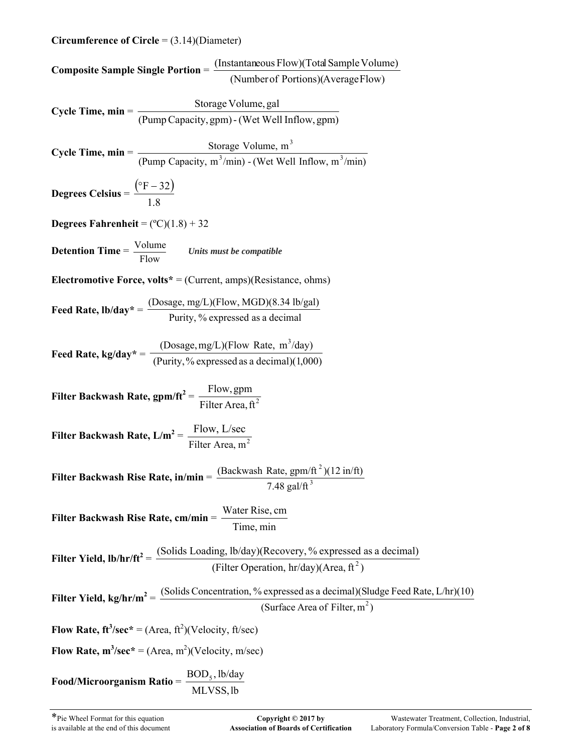### **Circumference of Circle** = (3.14)(Diameter)

| <b>Composite Sample Single Portion</b> = $\frac{\text{(Instantaneous Flow)}\text{(Total Sample Volume)}}{\text{(Number of Portions)}\text{(AverageFlow)}}$    |                                                                                                                                                                                        |  |  |
|---------------------------------------------------------------------------------------------------------------------------------------------------------------|----------------------------------------------------------------------------------------------------------------------------------------------------------------------------------------|--|--|
|                                                                                                                                                               |                                                                                                                                                                                        |  |  |
| Cycle Time, $min = \frac{\text{Storage Volume, gal}}{(\text{Pump Capacity, gpm}) - (\text{Wet Well Inflow, gpm})}$                                            |                                                                                                                                                                                        |  |  |
|                                                                                                                                                               |                                                                                                                                                                                        |  |  |
| Cycle Time, min = $\frac{\text{Storage Volume, m}^3}{(\text{Pump Capacity, m}^3/\text{min}) \cdot (\text{Wet Well Inflow, m}^3/\text{min})}$                  |                                                                                                                                                                                        |  |  |
|                                                                                                                                                               |                                                                                                                                                                                        |  |  |
| <b>Degrees Celsius</b> = $\frac{(^{\circ}F - 32)}{1.8}$                                                                                                       |                                                                                                                                                                                        |  |  |
|                                                                                                                                                               |                                                                                                                                                                                        |  |  |
| Degrees Fahrenheit = $(^{\circ}C)(1.8) + 32$                                                                                                                  |                                                                                                                                                                                        |  |  |
| <b>Detention Time</b> = $\frac{\text{Volume}}{\text{Flow}}$ Units must be compatible                                                                          |                                                                                                                                                                                        |  |  |
| Electromotive Force, volts* = (Current, amps)(Resistance, ohms)                                                                                               |                                                                                                                                                                                        |  |  |
| <b>Feed Rate, lb/day</b> * = $\frac{\text{(Dosage, mg/L)(Flow, MGD)(8.34 lb/gal)}}{\text{Purity}, \%$ expressed as a decimal                                  |                                                                                                                                                                                        |  |  |
| Feed Rate, kg/day* = $\frac{(\text{Dosage}, \text{mg/L})(\text{Flow Rate}, \text{m}^3/\text{day})}{(\text{Purity}, \% \text{expressed as a decimal})(1,000)}$ |                                                                                                                                                                                        |  |  |
|                                                                                                                                                               |                                                                                                                                                                                        |  |  |
| Filter Backwash Rate, gpm/ft <sup>2</sup> = $\frac{\text{Flow,gpm}}{\text{Filter Area}, \text{ft}^2}$                                                         |                                                                                                                                                                                        |  |  |
| Filter Backwash Rate, $L/m^2 = \frac{Flow, L/sec}{Filter Area, m^2}$                                                                                          |                                                                                                                                                                                        |  |  |
| Filter Backwash Rise Rate, in/min = $\frac{\text{(Backwash Rate, gpm/ft}^2)(12 \text{ in/ft})}{7.48 \text{ gal/ft}^3}$                                        |                                                                                                                                                                                        |  |  |
| Filter Backwash Rise Rate, cm/min =                                                                                                                           | Water Rise, cm<br>Time, min                                                                                                                                                            |  |  |
|                                                                                                                                                               | <b>Filter Yield, lb/hr/ft</b> <sup>2</sup> = $\frac{\text{(Solids Loading, lb/day)}\text{(Recovery, % expressed as a decimal)}}{\text{(Filter Operation, hr/day)}\text{(Area, ft}^2)}$ |  |  |
|                                                                                                                                                               | Filter Yield, kg/hr/m <sup>2</sup> = $\frac{\text{(Solids Connection, % expressed as a decimal)(Sludge Feed Rate, L/hr)}{(10)}$<br>(Surface Area of Filter, $m^2$ )                    |  |  |
| Flow Rate, $ft^3/sec^* = (Area, ft^2)(Velocity, ft/sec)$                                                                                                      |                                                                                                                                                                                        |  |  |
| Flow Rate, $m^3/sec^* = (Area, m^2)(Velocity, m/sec)$                                                                                                         |                                                                                                                                                                                        |  |  |
| Food/Microorganism Ratio = $\frac{BOD_5, lb/day}{1}$                                                                                                          | MLVSS, lb                                                                                                                                                                              |  |  |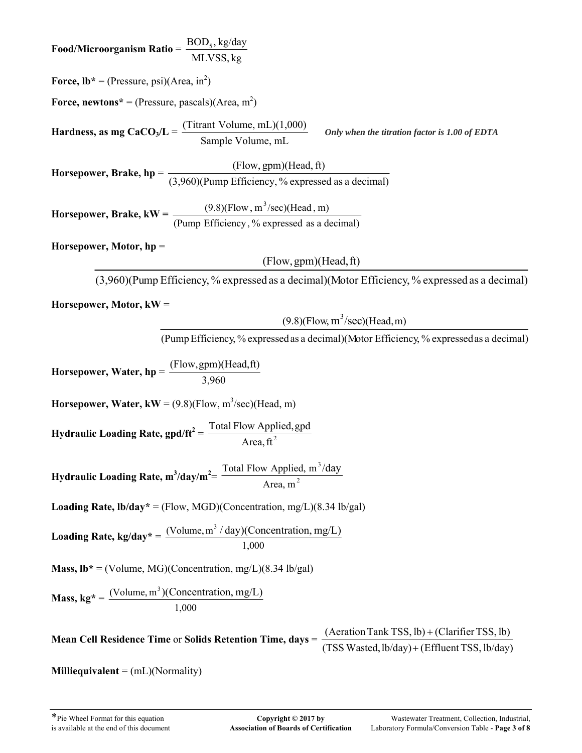**Food/Microorganism Ratio** = MLVSS, kg  $\text{BOD}_5$ , kg/day **Force,**  $Ib^* = (Pressure, psi)(Area, in^2)$ **Force, newtons**<sup>\*</sup> = (Pressure, pascals)(Area, m<sup>2</sup>) **Hardness, as mg CaCO<sub>3</sub>/L =** Sample Volume, mL (Titrant Volume, mL)(1,000) *Only when the titration factor is 1.00 of EDTA* **Horsepower, Brake, hp** = (3,960)(Pump Efficiency, % expressed as a decimal) (Flow, gpm)(Head, ft) **Horsepower, Brake, kW =**  $\frac{(9.8)(1.60 \text{ W})}{(Pump Efficiency, % expressed as a decimal)}$  $(9.8)$ (Flow, m<sup>3</sup>/sec)(Head, m) **Horsepower, Motor, hp** = (3,960)(Pump Efficiency, % expressed as a decimal)(Motor Efficiency, % expressed as a decimal) (Flow,gpm)(Head,ft) **Horsepower, Motor, kW** = (PumpEfficiency, % expressedas a decimal)(Motor Efficiency, % expressedas a decimal)  $(9.8)$ (Flow, m<sup>3</sup>/sec)(Head, m) **Horsepower, Water, hp** = 3,960 (Flow,gpm)(Head,ft) **Horsepower, Water,**  $kW = (9.8)(Flow, m^3/sec)(Head, m)$ **Hydraulic Loading Rate,**  $\text{gpd/ft}^2 = \frac{\text{Total Flow Applied, gpd}}{\text{Area, ft}^2}$ Hydraulic Loading Rate,  $m^3$ /day/ $m^2 = \frac{100(1 + 1000 \text{ Yk})}{4 \pi \epsilon_0 m^2}$ 3 Area, m Total Flow Applied,  $m^3$ /day **Loading Rate, lb/day\*** = (Flow, MGD)(Concentration, mg/L)(8.34 lb/gal) **Loading Rate, kg/day\*** = 1,000 (Volume,  $m^3 / day$ )(Concentration, mg/L) **Mass,**  $\mathbf{lb}^* = (\text{Volume}, \text{MG})(\text{Concentration}, \text{mg/L})(8.34 \text{ lb/gal})$ **Mass, kg\*** = 1,000 (Volume,  $m^3$ )(Concentration, mg/L) **Mean Cell Residence Time** or **Solids Retention Time, days** =  $(TSS Wasted, lb/day) + (Effluent TSS, lb/day)$  $(Aeration Tank TSS, lb) + (Clarifier TSS, lb)$  $^{+}$  $^{+}$ **Milliequivalent** = (mL)(Normality)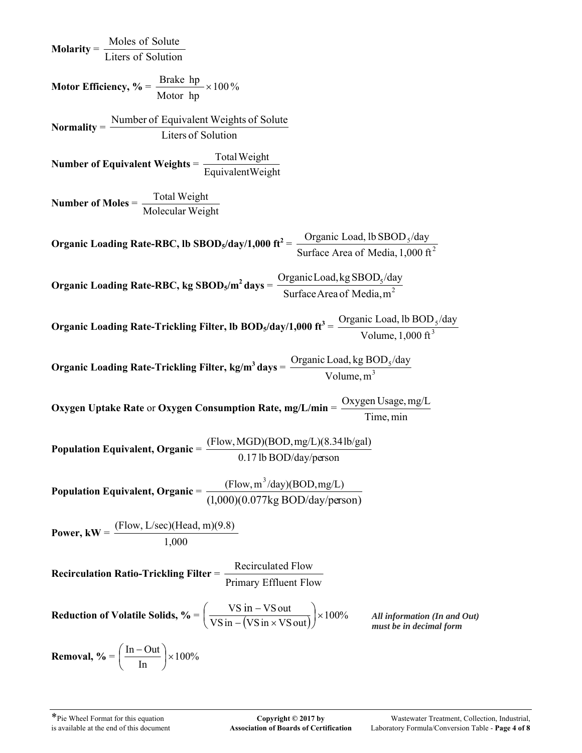**Molarity** = Liters of Solution Moles of Solute **Motor Efficiency, % =**  $\frac{\text{Bessel}}{\text{Bessel}} \times 100\%$ Motor hp Brake hp  $\times$ **Normality** = Liters of Solution Number of Equivalent Weights of Solute **Number of Equivalent Weights** = Equivalent Weight Total Weight **Number of Moles** = Molecular Weight Total Weight **Organic Loading Rate-RBC, lb SBOD<sub>5</sub>/day/1,000 ft<sup>2</sup> =**  $\frac{O(gaint Load, b SDOD<sub>5</sub>/day)}{Suffaca Area of Media 1,000 \text{ ft}^2}$ Surface Area of Media, 1,000 ft Organic Load, lb  $\text{SBOD}_{5}/\text{day}$  $\text{Organic Loading Rate-RBC, kg SBODs/m<sup>2</sup> days} = \frac{\text{Organic Load, kg SDODs/m<sup>2</sup> days}}{\text{Surface Area of Media m<sup>2</sup> gas}}$ SurfaceArea of Media,m Organic Load, kg  $SBOD<sub>5</sub>/day$ **Organic Loading Rate-Trickling Filter, lb BOD<sub>5</sub>/day/1,000 ft<sup>3</sup> =**  $\frac{O(gaint \text{ Load}, 10 \text{ BOD})}{N \cdot 3}$ Volume,1,000 ft Organic Load, lb BOD<sub>5</sub>/day **Organic Loading Rate-Trickling Filter, kg/m<sup>3</sup> days =**  $\frac{O(gaint Load, kg BOD_s)}{N_{\text{clume}} m^3}$ Volume,m Organic Load, kg  $BOD_5/day$ **Oxygen Uptake Rate** or **Oxygen Consumption Rate, mg/L/min** = Time, min Oxygen Usage, mg/L **Population Equivalent, Organic** = 0.17 lb BOD/day/person (Flow,MGD)(BOD,mg/L)(8.34lb/gal) **Population Equivalent, Organic** = (1,000)(0.077kg BOD/day/person)  $(Flow, m^3/day)$ (BOD, mg/L) **Power, kW** = 1,000 (Flow, L/sec)(Head, m)(9.8) Recirculation Ratio-Trickling Filter = <u>Recirculated Flow</u> Primary Effluent Flow **Reduction of Volatile Solids, % =**  $\left(\frac{VSH}{VS \sin -(VS \sin \times VS \cot t)}\right) \times 100\%$  $\frac{\text{VS in} - \text{VS out}}{\text{m} - (\text{VS in} \times \text{VS out})}$ J  $\left(\frac{\text{VS in} - \text{VS out}}{\text{VS in} - (\text{VS in} + \text{NS out})}\right)$  $\setminus$  $\left(\frac{\text{VS in -VS out}}{\text{TS in -XSS out}}\right) \times 100\%$  All information (In and Out) **Removal,**  $\% = \frac{1}{100} \times 100\%$ In  $\frac{\text{In}-\text{Out}}{\text{I}\times}$  $\bigg)$  $\frac{\ln -\text{Out}}{\text{L}}$  $\setminus$ ſ *must be in decimal form*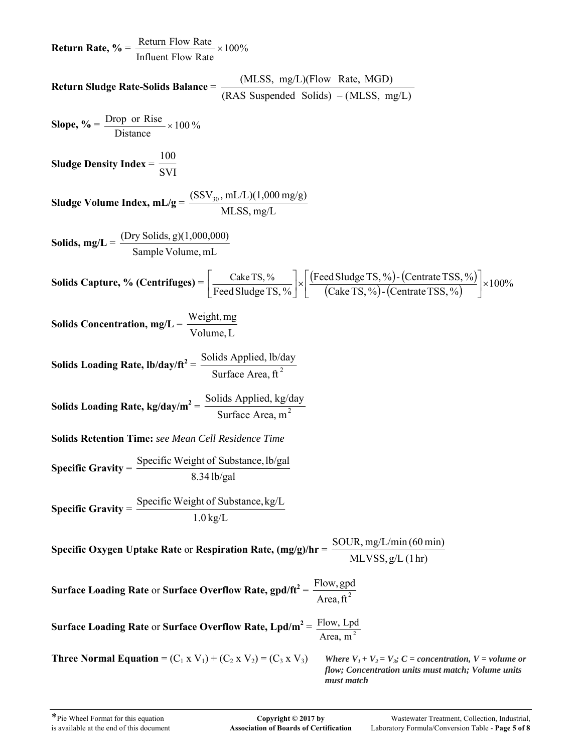**Return Rate, %** =  $\frac{\text{Recum flow Rate}}{\text{Recum}} \times 100\%$ Influent Flow Rate Return Flow Rate  $\times$ **Return Sludge Rate-Solids Balance** =  $(RAS$  Suspended Solids)  $-(MLSS, mg/L)$  $(MLSS, mg/L)$ (Flow Rate, MGD)<br>S Suspended Solids) – (MLSS, mg/L) **Slope, %** =  $\frac{D10p}{n} \times 100\%$ Distance Drop or Rise  $\times$ **Sludge Density Index** = SVI 100 **Sludge Volume Index, mL/g** = MLSS, mg/L  $(SSV_{30}, mL/L)(1,000 \text{ mg/g})$ **Solids, mg/L** = Sample Volume, mL (Dry Solids, g)(1,000,000) **Solids Capture, % (Centrifuges)** =  $\frac{\text{Cake TS}, \%}{\text{Feed Sludge TS}, \%}\n\times \frac{\text{Feed Sludge TS}, \%}{\text{Cake TS}, \%}\n\times \frac{\text{Centrate TSS}, \%}{\text{Center S}}\n\times \frac{\text{Centrate TSS}, \%}{\text{Caste TS}}$ Feed Sludge TS, %) - (Centrate TSS, % FeedSludgeTS, % Cake TS, %  $\alpha$   $\times$   $\left[\times\left(\frac{\text{Feed Sludge TS}, \%}{\text{Cache TS}, \%}\right)$  (Centrate TSS, %)  $\left[\times\left(\frac{\text{Code TS}, \%}{\text{Cache TS}, \%}\right)$  (Centrate TSS, %)  $\left[\frac{\text{Cake TS}, \%}{\text{Feed Sludge TS}, \%}\right] \times$ L **Solids Concentration, mg/L** = Volume, L Weight,mg **Solids Loading Rate,**  $\frac{16}{\text{bday}}$  $\frac{16}{\text{bday}} = \frac{16}{\text{bday}}$  **Surface Area, ft<sup>2</sup> Solids Loading Rate, kg/day/m<sup>2</sup>** =  $\frac{\text{Sontas Applica, kg/C}}{\text{Surface Area, m}^2}$ Solids Applied,  $\frac{kg/day}{2}$ **Solids Retention Time:** *see Mean Cell Residence Time*  **Specific Gravity** = 8.34 lb/gal Specific Weight of Substance, lb/gal **Specific Gravity** = 1.0 kg/L Specific Weight of Substance, kg/L **Specific Oxygen Uptake Rate** or **Respiration Rate, (mg/g)/hr** = MLVSS, g/L (1hr) SOUR, mg/L/min (60 min) **Surface Loading Rate** or **Surface Overflow Rate,**  $\text{gpd/ft}^2 = \frac{\text{Flow}, \text{gpd}}{\text{Area}, \text{ft}^2}$ **Surface Loading Rate or Surface Overflow Rate,**  $Lpd/m^2 = \frac{Flow, Lpd}{Area, m^2}$ **Three Normal Equation** =  $(C_1 \times V_1) + (C_2 \times V_2) = (C_3 \times V_3)$  *Where*  $V_1 + V_2 = V_3$ ; *C* = concentration, *V* = volume or *flow; Concentration units must match; Volume units must match*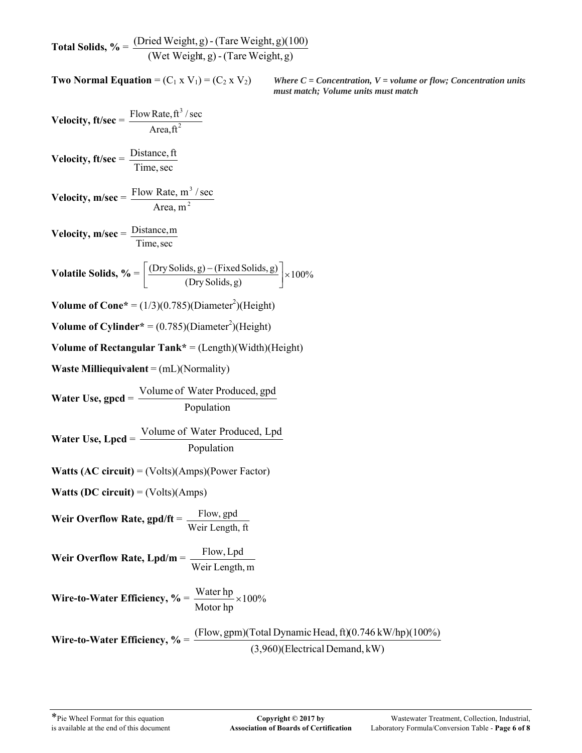**Total Solids, %** = (Wet Weight, g) -(Tare Weight,g)  $(Dried Weight, g) - (Tare Weight, g)(100)$ 

**Two Normal Equation** =  $(C_1 \times V_1) = (C_2 \times V_2)$  *Where C = Concentration, V = volume or flow; Concentration units must match; Volume units must match*

$$
Velocity, ft/sec = \frac{Flow Rate, ft^3 / sec}{Area, ft^2}
$$

**Velocity, ft/sec** = Time, sec Distance, ft

$$
Velocity, m/sec = \frac{Flow Rate, m3/sec}{Area, m2}
$$

**Velocity, m/sec** = Time,sec Distance,m

$$
\textbf{Volatile Solids, } \% = \left[ \frac{(\text{Dry Solids}, g) - (\text{Fixed Solids}, g)}{(\text{Dry Solids}, g)} \right] \times 100\%
$$

**Volume of Cone**\* =  $(1/3)(0.785)(Diameter^2)(Height)$ 

**Volume of Cylinder**<sup>\*</sup> =  $(0.785)(Diameter^2)(Height)$ 

**Volume of Rectangular Tank\*** = (Length)(Width)(Height)

**Waste Milliequivalent** = (mL)(Normality)

**Water Use, gpcd** = Population Volume of Water Produced, gpd

**Water Use, Lpcd** = 
$$
\frac{\text{Volume of Water Produced, Lpd}}{\text{Population}}
$$

**Watts (AC circuit)** = (Volts)(Amps)(Power Factor)

**Watts (DC circuit)** = (Volts)(Amps)

**Weir Overflow Rate, gpd/ft** = Weir Length, ft Flow, gpd

**Weir Overflow Rate, Lpd/m** = 
$$
\frac{Flow, Lpd}{Weir Length, m}
$$

**Wire-to-Water Efficiency,** 
$$
\% = \frac{\text{Water hp}}{\text{Motor hp}} \times 100\%
$$

**Wire-to-Water Efficiency, %** = (3,960)(Electrical Demand, kW) (Flow, gpm)(Total DynamicHead,ft)(0.746 kW/hp)(100%)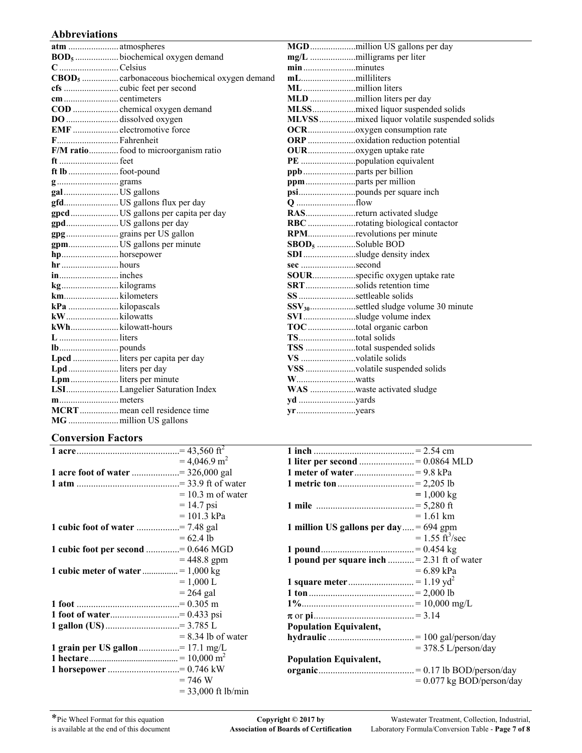#### **Abbreviations**

| BOD <sub>5</sub> biochemical oxygen demand               |                                                   |
|----------------------------------------------------------|---------------------------------------------------|
| C Celsius                                                |                                                   |
| CBOD <sub>5</sub> carbonaceous biochemical oxygen demand |                                                   |
|                                                          |                                                   |
|                                                          | MLD million liters per day                        |
|                                                          |                                                   |
| DO dissolved oxygen                                      | MLVSSmixed liquor volatile suspended solids       |
| EMF  electromotive force                                 |                                                   |
| F Fahrenheit                                             |                                                   |
| F/M ratio food to microorganism ratio                    |                                                   |
|                                                          |                                                   |
|                                                          |                                                   |
|                                                          | ppmparts per million                              |
| galUS gallons                                            |                                                   |
| gfdUS gallons flux per day                               |                                                   |
| gpcdUS gallons per capita per day                        | RASreturn activated sludge                        |
| gpdUS gallons per day                                    | RBC rotating biological contactor                 |
| gpggrains per US gallon                                  | RPMrevolutions per minute                         |
| gpmUS gallons per minute                                 | SBOD <sub>5</sub> Soluble BOD                     |
| hphorsepower                                             | SDIsludge density index                           |
|                                                          | sec second                                        |
|                                                          | SOURspecific oxygen uptake rate                   |
|                                                          | SRTsolids retention time                          |
|                                                          | SS settleable solids                              |
|                                                          | SSV <sub>30</sub> settled sludge volume 30 minute |
|                                                          | SVIsludge volume index                            |
| kWhkilowatt-hours                                        | TOC total organic carbon                          |
|                                                          |                                                   |
|                                                          | TSS total suspended solids                        |
| Lpcd  liters per capita per day                          | VS volatile solids                                |
| Lpd liters per day                                       | VSS volatile suspended solids                     |
| Lpmliters per minute                                     |                                                   |
| LSI Langelier Saturation Index                           | WAS waste activated sludge                        |
|                                                          |                                                   |
| MCRTmean cell residence time                             |                                                   |
|                                                          |                                                   |

### **Conversion Factors**

|                                         | $= 4.046.9$ m <sup>2</sup> |
|-----------------------------------------|----------------------------|
| 1 acre foot of water = 326,000 gal      |                            |
|                                         |                            |
|                                         | $= 10.3$ m of water        |
|                                         | $= 14.7$ psi               |
|                                         | $= 101.3 \text{ kPa}$      |
| <b>1 cubic foot of water</b> = 7.48 gal |                            |
|                                         | $= 62.4$ lb                |
| 1 cubic foot per second = 0.646 MGD     |                            |
|                                         | $= 448.8$ gpm              |
|                                         |                            |
|                                         | $= 1,000 L$                |
|                                         | $= 264$ gal                |
|                                         |                            |
| 1 foot of water= 0.433 psi              |                            |
| 1 gallon (US) = 3.785 L                 |                            |
|                                         | $= 8.34$ lb of water       |
| 1 grain per US gallon = 17.1 mg/L       |                            |
|                                         |                            |
| 1 horsepower = 0.746 kW                 |                            |
|                                         | $= 746 W$                  |
|                                         | $= 33,000$ ft lb/min       |

| 1 liter per second = 0.0864 MLD            |                                  |
|--------------------------------------------|----------------------------------|
|                                            |                                  |
|                                            |                                  |
|                                            | $= 1,000 \text{ kg}$             |
|                                            |                                  |
|                                            | $= 1.61$ km                      |
| 1 million US gallons per day = $694$ gpm   |                                  |
|                                            | $= 1.55 \text{ ft}^3/\text{sec}$ |
|                                            |                                  |
| 1 pound per square inch = 2.31 ft of water |                                  |
|                                            | $= 6.89$ kPa                     |
|                                            |                                  |
|                                            |                                  |
|                                            |                                  |
|                                            |                                  |
| <b>Population Equivalent,</b>              |                                  |
|                                            |                                  |
|                                            | $=$ 378.5 L/person/day           |
| <b>Population Equivalent,</b>              |                                  |
|                                            |                                  |
|                                            | $= 0.077$ kg BOD/person/day      |